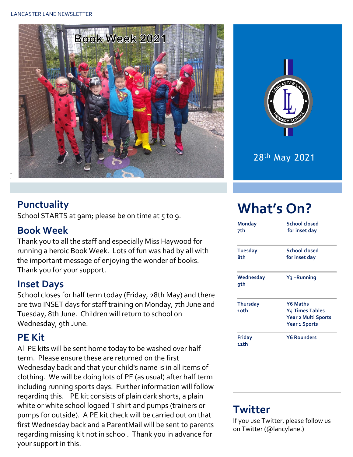



#### **Punctuality**

School STARTS at 9am; please be on time at 5 to 9.

#### **Book Week**

Thank you to all the staff and especially Miss Haywood for running a heroic Book Week. Lots of fun was had by all with the important message of enjoying the wonder of books. Thank you for your support.

#### **Inset Days**

School closes for half term today (Friday, 28th May) and there are two INSET days for staff training on Monday, 7th June and Tuesday, 8th June. Children will return to school on Wednesday, 9th June.

#### **PE Kit**

All PE kits will be sent home today to be washed over half term. Please ensure these are returned on the first Wednesday back and that your child's name is in all items of clothing. We will be doing lots of PE (as usual) after half term including running sports days. Further information will follow regarding this. PE kit consists of plain dark shorts, a plain white or white school logoed T shirt and pumps (trainers or pumps for outside). A PE kit check will be carried out on that first Wednesday back and a ParentMail will be sent to parents regarding missing kit not in school. Thank you in advance for your support in this.

# **What's On?**

| <b>Monday</b><br>7th    | <b>School closed</b><br>for inset day                                                    |
|-------------------------|------------------------------------------------------------------------------------------|
| <b>Tuesday</b><br>8th   | <b>School closed</b><br>for inset day                                                    |
| Wednesday<br>9th        | Y <sub>3</sub> -Running                                                                  |
| <b>Thursday</b><br>10th | <b>Y6 Maths</b><br><b>Y4 Times Tables</b><br>Year 2 Multi Sports<br><b>Year 1 Sports</b> |
| Friday<br>11th          | <b>Y6 Rounders</b>                                                                       |

### **Twitter**

If you use Twitter, please follow us on Twitter (@lancylane.)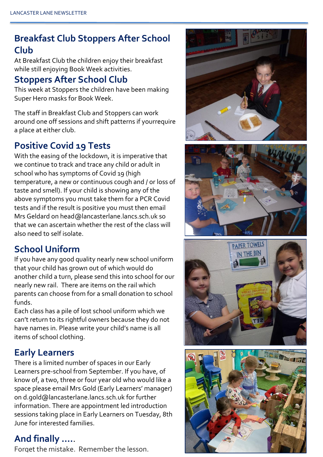### **Breakfast Club Stoppers After School Club**

At Breakfast Club the children enjoy their breakfast while still enjoying Book Week activities.

#### **Stoppers After School Club**

This week at Stoppers the children have been making Super Hero masks for Book Week.

The staff in Breakfast Club and Stoppers can work around one off sessions and shift patterns if yourrequire a place at either club.

#### **Positive Covid 19 Tests**

With the easing of the lockdown, it is imperative that we continue to track and trace any child or adult in school who has symptoms of Covid 19 (high temperature, a new or continuous cough and / or loss of taste and smell). If your child is showing any of the above symptoms you must take them for a PCR Covid tests and if the result is positive you must then email Mrs Geldard on head@lancasterlane.lancs.sch.uk so that we can ascertain whether the rest of the class will also need to self isolate.

#### **School Uniform**

If you have any good quality nearly new school uniform that your child has grown out of which would do another child a turn, please send this into school for our nearly new rail. There are items on the rail which parents can choose from for a small donation to school funds.

Each class has a pile of lost school uniform which we can't return to its rightful owners because they do not have names in. Please write your child's name is all items of school clothing.

#### **Early Learners**

There is a limited number of spaces in our Early Learners pre-school from September. If you have, of know of, a two, three or four year old who would like a space please email Mrs Gold (Early Learners' manager) on d.gold@lancasterlane.lancs.sch.uk for further information. There are appointment led introduction sessions taking place in Early Learners on Tuesday, 8th June for interested families.

#### **And finally ….**.

Forget the mistake. Remember the lesson.